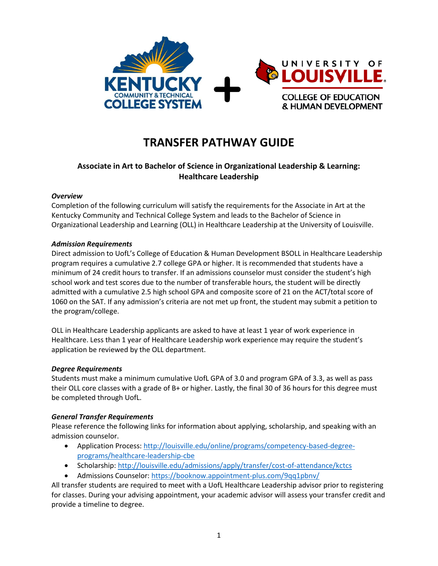

# **TRANSFER PATHWAY GUIDE**

# **Associate in Art to Bachelor of Science in Organizational Leadership & Learning: Healthcare Leadership**

#### *Overview*

Completion of the following curriculum will satisfy the requirements for the Associate in Art at the Kentucky Community and Technical College System and leads to the Bachelor of Science in Organizational Leadership and Learning (OLL) in Healthcare Leadership at the University of Louisville.

#### *Admission Requirements*

Direct admission to UofL's College of Education & Human Development BSOLL in Healthcare Leadership program requires a cumulative 2.7 college GPA or higher. It is recommended that students have a minimum of 24 credit hours to transfer. If an admissions counselor must consider the student's high school work and test scores due to the number of transferable hours, the student will be directly admitted with a cumulative 2.5 high school GPA and composite score of 21 on the ACT/total score of 1060 on the SAT. If any admission's criteria are not met up front, the student may submit a petition to the program/college.

OLL in Healthcare Leadership applicants are asked to have at least 1 year of work experience in Healthcare. Less than 1 year of Healthcare Leadership work experience may require the student's application be reviewed by the OLL department.

#### *Degree Requirements*

Students must make a minimum cumulative UofL GPA of 3.0 and program GPA of 3.3, as well as pass their OLL core classes with a grade of B+ or higher. Lastly, the final 30 of 36 hours for this degree must be completed through UofL.

#### *General Transfer Requirements*

Please reference the following links for information about applying, scholarship, and speaking with an admission counselor.

- Application Process[: http://louisville.edu/online/programs/competency-based-degree](http://louisville.edu/online/programs/competency-based-degree-programs/healthcare-leadership-cbe)[programs/healthcare-leadership-cbe](http://louisville.edu/online/programs/competency-based-degree-programs/healthcare-leadership-cbe)
- Scholarship[: http://louisville.edu/admissions/apply/transfer/cost-of-attendance/kctcs](http://louisville.edu/admissions/apply/transfer/cost-of-attendance/kctcs)
- Admissions Counselor[: https://booknow.appointment-plus.com/9qq1pbnv/](https://booknow.appointment-plus.com/9qq1pbnv/)

All transfer students are required to meet with a UofL Healthcare Leadership advisor prior to registering for classes. During your advising appointment, your academic advisor will assess your transfer credit and provide a timeline to degree.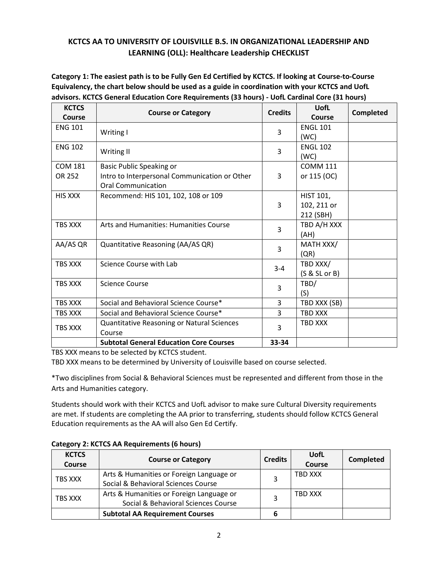# **KCTCS AA TO UNIVERSITY OF LOUISVILLE B.S. IN ORGANIZATIONAL LEADERSHIP AND LEARNING (OLL): Healthcare Leadership CHECKLIST**

**Category 1: The easiest path is to be Fully Gen Ed Certified by KCTCS. If looking at Course-to-Course Equivalency, the chart below should be used as a guide in coordination with your KCTCS and UofL advisors. KCTCS General Education Core Requirements (33 hours) - UofL Cardinal Core (31 hours)**

| <b>KCTCS</b><br><b>Course</b> | <b>Course or Category</b>                                                                                     | <b>Credits</b> | UofL<br>Course                        | Completed |
|-------------------------------|---------------------------------------------------------------------------------------------------------------|----------------|---------------------------------------|-----------|
| <b>ENG 101</b>                | Writing I                                                                                                     | 3              | <b>ENGL 101</b><br>(WC)               |           |
| <b>ENG 102</b>                | Writing II                                                                                                    | 3              | <b>ENGL 102</b><br>(WC)               |           |
| <b>COM 181</b><br>OR 252      | <b>Basic Public Speaking or</b><br>Intro to Interpersonal Communication or Other<br><b>Oral Communication</b> | 3              | <b>COMM 111</b><br>or 115 (OC)        |           |
| HIS XXX                       | Recommend: HIS 101, 102, 108 or 109                                                                           | 3              | HIST 101,<br>102, 211 or<br>212 (SBH) |           |
| TBS XXX                       | Arts and Humanities: Humanities Course                                                                        | 3              | TBD A/H XXX<br>(AH)                   |           |
| AA/AS QR                      | Quantitative Reasoning (AA/AS QR)                                                                             | 3              | MATH XXX/<br>(QR)                     |           |
| TBS XXX                       | Science Course with Lab                                                                                       | $3 - 4$        | TBD XXX/<br>$(S & SL$ or B)           |           |
| TBS XXX                       | <b>Science Course</b>                                                                                         | 3              | TBD/<br>(S)                           |           |
| <b>TBS XXX</b>                | Social and Behavioral Science Course*                                                                         | 3              | TBD XXX (SB)                          |           |
| <b>TBS XXX</b>                | Social and Behavioral Science Course*                                                                         | 3              | <b>TBD XXX</b>                        |           |
| TBS XXX                       | Quantitative Reasoning or Natural Sciences<br>Course                                                          | 3              | TBD XXX                               |           |
|                               | <b>Subtotal General Education Core Courses</b>                                                                | 33-34          |                                       |           |

TBS XXX means to be selected by KCTCS student.

TBD XXX means to be determined by University of Louisville based on course selected.

\*Two disciplines from Social & Behavioral Sciences must be represented and different from those in the Arts and Humanities category.

Students should work with their KCTCS and UofL advisor to make sure Cultural Diversity requirements are met. If students are completing the AA prior to transferring, students should follow KCTCS General Education requirements as the AA will also Gen Ed Certify.

| <b>KCTCS</b><br><b>Course</b> | <b>Course or Category</b>                                                       | <b>Credits</b> | UofL<br><b>Course</b> | <b>Completed</b> |
|-------------------------------|---------------------------------------------------------------------------------|----------------|-----------------------|------------------|
| TBS XXX                       | Arts & Humanities or Foreign Language or<br>Social & Behavioral Sciences Course |                | <b>TBD XXX</b>        |                  |
| TBS XXX                       | Arts & Humanities or Foreign Language or<br>Social & Behavioral Sciences Course |                | TBD XXX               |                  |
|                               | <b>Subtotal AA Requirement Courses</b>                                          | 6              |                       |                  |

### **Category 2: KCTCS AA Requirements (6 hours)**